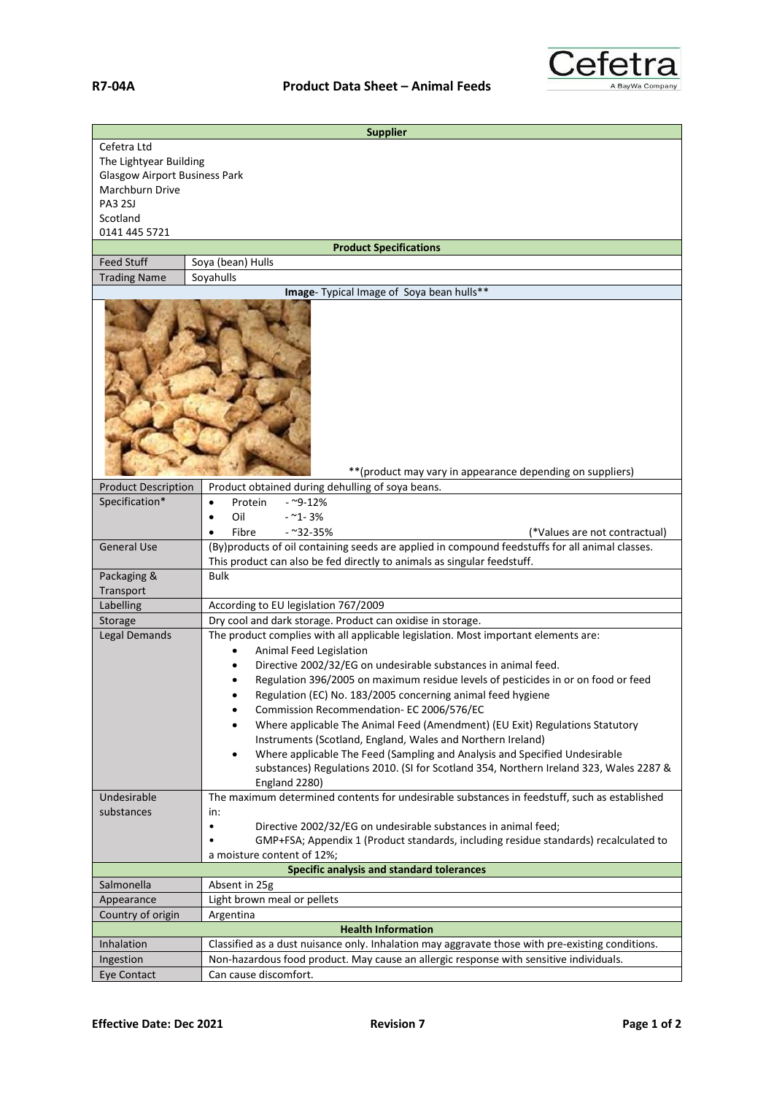

| <b>Supplier</b>                                                                                                                |                                                                                                                                                                                                                                                                                                                                                                                                                                                                                                                                                                                                                                                                                                                                                                                                                                                                 |  |
|--------------------------------------------------------------------------------------------------------------------------------|-----------------------------------------------------------------------------------------------------------------------------------------------------------------------------------------------------------------------------------------------------------------------------------------------------------------------------------------------------------------------------------------------------------------------------------------------------------------------------------------------------------------------------------------------------------------------------------------------------------------------------------------------------------------------------------------------------------------------------------------------------------------------------------------------------------------------------------------------------------------|--|
| Cefetra Ltd<br>The Lightyear Building<br><b>Glasgow Airport Business Park</b><br>Marchburn Drive<br><b>PA3 2SJ</b><br>Scotland |                                                                                                                                                                                                                                                                                                                                                                                                                                                                                                                                                                                                                                                                                                                                                                                                                                                                 |  |
| 0141 445 5721                                                                                                                  |                                                                                                                                                                                                                                                                                                                                                                                                                                                                                                                                                                                                                                                                                                                                                                                                                                                                 |  |
|                                                                                                                                | <b>Product Specifications</b>                                                                                                                                                                                                                                                                                                                                                                                                                                                                                                                                                                                                                                                                                                                                                                                                                                   |  |
| <b>Feed Stuff</b><br><b>Trading Name</b>                                                                                       | Soya (bean) Hulls<br>Soyahulls                                                                                                                                                                                                                                                                                                                                                                                                                                                                                                                                                                                                                                                                                                                                                                                                                                  |  |
|                                                                                                                                | Image- Typical Image of Soya bean hulls**                                                                                                                                                                                                                                                                                                                                                                                                                                                                                                                                                                                                                                                                                                                                                                                                                       |  |
|                                                                                                                                | ** (product may vary in appearance depending on suppliers)                                                                                                                                                                                                                                                                                                                                                                                                                                                                                                                                                                                                                                                                                                                                                                                                      |  |
| <b>Product Description</b>                                                                                                     | Product obtained during dehulling of soya beans.                                                                                                                                                                                                                                                                                                                                                                                                                                                                                                                                                                                                                                                                                                                                                                                                                |  |
| Specification*                                                                                                                 | Protein<br>$-9 - 12%$<br>$\bullet$<br>Oil<br>$-21 - 3%$<br>Fibre<br>$-232-35%$<br>(*Values are not contractual)                                                                                                                                                                                                                                                                                                                                                                                                                                                                                                                                                                                                                                                                                                                                                 |  |
| <b>General Use</b>                                                                                                             | (By)products of oil containing seeds are applied in compound feedstuffs for all animal classes.<br>This product can also be fed directly to animals as singular feedstuff.                                                                                                                                                                                                                                                                                                                                                                                                                                                                                                                                                                                                                                                                                      |  |
| Packaging &<br>Transport                                                                                                       | <b>Bulk</b>                                                                                                                                                                                                                                                                                                                                                                                                                                                                                                                                                                                                                                                                                                                                                                                                                                                     |  |
| Labelling                                                                                                                      | According to EU legislation 767/2009                                                                                                                                                                                                                                                                                                                                                                                                                                                                                                                                                                                                                                                                                                                                                                                                                            |  |
| Storage                                                                                                                        | Dry cool and dark storage. Product can oxidise in storage.                                                                                                                                                                                                                                                                                                                                                                                                                                                                                                                                                                                                                                                                                                                                                                                                      |  |
| <b>Legal Demands</b><br>Undesirable                                                                                            | The product complies with all applicable legislation. Most important elements are:<br>Animal Feed Legislation<br>Directive 2002/32/EG on undesirable substances in animal feed.<br>Regulation 396/2005 on maximum residue levels of pesticides in or on food or feed<br>Regulation (EC) No. 183/2005 concerning animal feed hygiene<br>Commission Recommendation- EC 2006/576/EC<br>$\bullet$<br>Where applicable The Animal Feed (Amendment) (EU Exit) Regulations Statutory<br>$\bullet$<br>Instruments (Scotland, England, Wales and Northern Ireland)<br>Where applicable The Feed (Sampling and Analysis and Specified Undesirable<br>$\bullet$<br>substances) Regulations 2010. (SI for Scotland 354, Northern Ireland 323, Wales 2287 &<br>England 2280)<br>The maximum determined contents for undesirable substances in feedstuff, such as established |  |
| substances                                                                                                                     |                                                                                                                                                                                                                                                                                                                                                                                                                                                                                                                                                                                                                                                                                                                                                                                                                                                                 |  |
|                                                                                                                                | in:<br>Directive 2002/32/EG on undesirable substances in animal feed;<br>$\bullet$<br>GMP+FSA; Appendix 1 (Product standards, including residue standards) recalculated to<br>a moisture content of 12%;                                                                                                                                                                                                                                                                                                                                                                                                                                                                                                                                                                                                                                                        |  |
|                                                                                                                                | <b>Specific analysis and standard tolerances</b>                                                                                                                                                                                                                                                                                                                                                                                                                                                                                                                                                                                                                                                                                                                                                                                                                |  |
| Salmonella                                                                                                                     | Absent in 25g                                                                                                                                                                                                                                                                                                                                                                                                                                                                                                                                                                                                                                                                                                                                                                                                                                                   |  |
| Appearance                                                                                                                     | Light brown meal or pellets                                                                                                                                                                                                                                                                                                                                                                                                                                                                                                                                                                                                                                                                                                                                                                                                                                     |  |
| Country of origin                                                                                                              | Argentina                                                                                                                                                                                                                                                                                                                                                                                                                                                                                                                                                                                                                                                                                                                                                                                                                                                       |  |
|                                                                                                                                | <b>Health Information</b>                                                                                                                                                                                                                                                                                                                                                                                                                                                                                                                                                                                                                                                                                                                                                                                                                                       |  |
| Inhalation                                                                                                                     | Classified as a dust nuisance only. Inhalation may aggravate those with pre-existing conditions.<br>Non-hazardous food product. May cause an allergic response with sensitive individuals.                                                                                                                                                                                                                                                                                                                                                                                                                                                                                                                                                                                                                                                                      |  |
| Ingestion<br>Eye Contact                                                                                                       | Can cause discomfort.                                                                                                                                                                                                                                                                                                                                                                                                                                                                                                                                                                                                                                                                                                                                                                                                                                           |  |